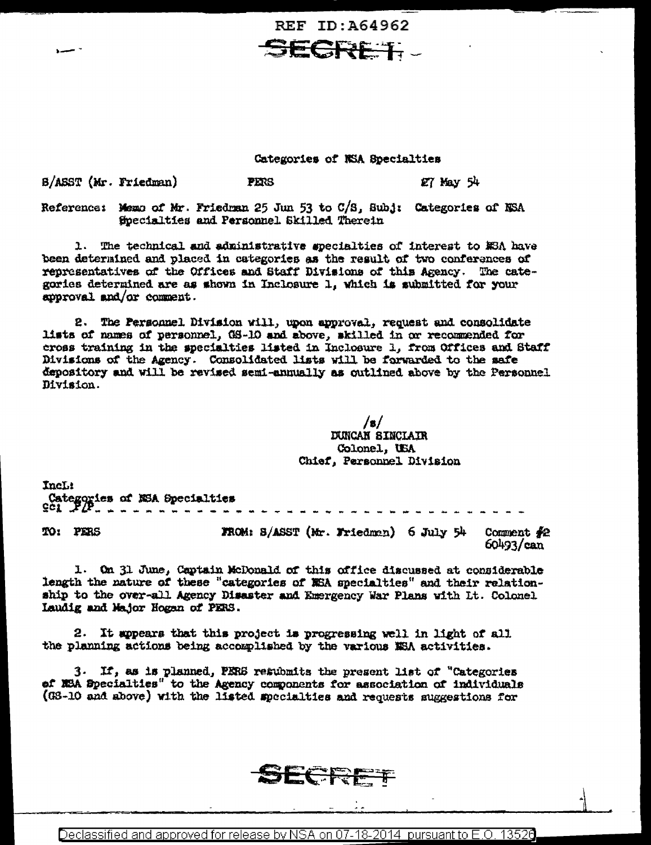REF ID: 464962 **JECRET.** 

Categories of NSA Specialties

 $27$  May  $54$ 

B/ASST (Mr. Friedman) **PERS** 

Reference: Memo of Mr. Friedman 25 Jun 53 to C/S, Subj: Categories of NSA Specialties and Personnel Skilled Therein

1. The technical and administrative specialties of interest to MSA have been determined and placed in categories as the result of two conferences of representatives of the Offices and Staff Divisions of this Agency. The categories determined are as shown in Inclosure 1, which is submitted for your approval and/or comment.

2. The Personnel Division will, upon approval, request and consolidate lists of names of personnel, GS-10 and above, skilled in or recommended for cross training in the specialties listed in Inclosure 1, from Offices and Staff Divisions of the Agency. Consolidated lists will be forwarded to the safe depository and will be revised semi-annually as outlined above by the Personnel Division.

> $/s/$ **DUNCAN SINCLAIR** Colonel, USA Chief, Personnel Division

Incl: Categories of NSA Specialiies FROM: S/ASST (Mr. Friedman) 6 July 54 TO: PERS Comment  $\#2$  $60493 / \text{can}$ 

1. On 31 June, Captain McDonald of this office discussed at considerable length the nature of these "categories of NEA specialties" and their relationship to the over-all Agency Disaster and Emergency War Plans with Lt. Colonel Laudig and Major Hogan of PERS.

2. It appears that this project is progressing well in light of all the planning actions being accomplished by the various NSA activities.

3. If, as is planned, PERS resubmits the present list of "Categories of NSA Specialties" to the Agency components for association of individuals (GS-10 and above) with the listed specialties and requests suggestions for